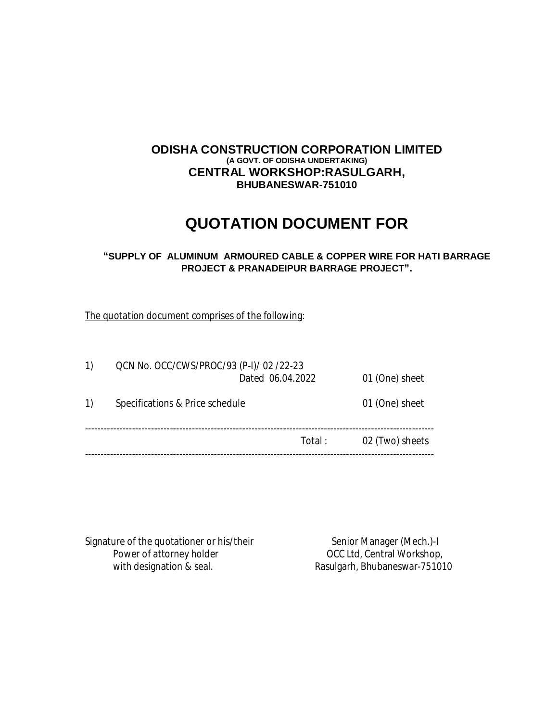### **ODISHA CONSTRUCTION CORPORATION LIMITED (A GOVT. OF ODISHA UNDERTAKING) CENTRAL WORKSHOP:RASULGARH, BHUBANESWAR-751010**

# **QUOTATION DOCUMENT FOR**

#### **"SUPPLY OF ALUMINUM ARMOURED CABLE & COPPER WIRE FOR HATI BARRAGE PROJECT & PRANADEIPUR BARRAGE PROJECT".**

The quotation document comprises of the following:

| $\left( \begin{matrix} 1 \end{matrix} \right)$ |                                 | QCN No. OCC/CWS/PROC/93 (P-I)/ 02 /22-23<br>Dated 06.04.2022 |                 |
|------------------------------------------------|---------------------------------|--------------------------------------------------------------|-----------------|
| 1)                                             | Specifications & Price schedule |                                                              | 01 (One) sheet  |
|                                                |                                 | Total:                                                       | 02 (Two) sheets |
|                                                |                                 |                                                              |                 |

Signature of the quotationer or his/their<br>Power of attorney holder on the senior Manager (Mech.)-I with designation & seal. The Rasulgarh, Bhubaneswar-751010

OCC Ltd, Central Workshop,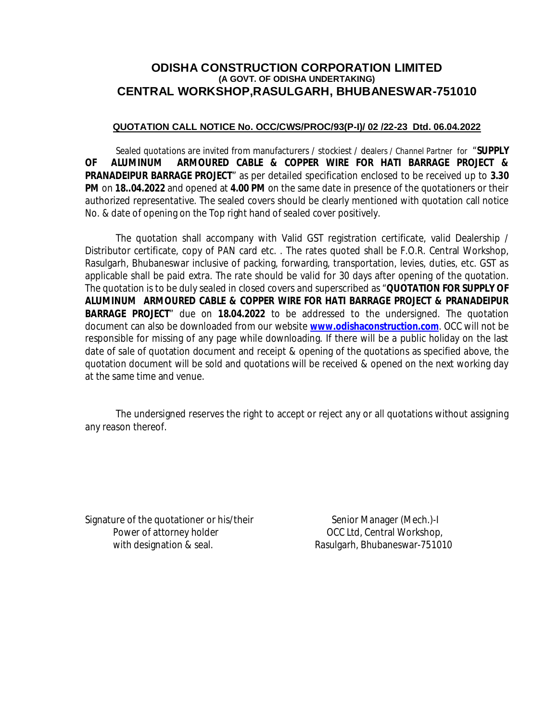## **ODISHA CONSTRUCTION CORPORATION LIMITED (A GOVT. OF ODISHA UNDERTAKING) CENTRAL WORKSHOP,RASULGARH, BHUBANESWAR-751010**

#### **QUOTATION CALL NOTICE No. OCC/CWS/PROC/93(P-I)/ 02 /22-23 Dtd. 06.04.2022**

Sealed quotations are invited from manufacturers / stockiest / dealers / Channel Partner for "**SUPPLY OF ALUMINUM ARMOURED CABLE & COPPER WIRE FOR HATI BARRAGE PROJECT & PRANADEIPUR BARRAGE PROJECT**" as per detailed specification enclosed to be received up to **3.30 PM** on **18..04.2022** and opened at **4.00 PM** on the same date in presence of the quotationers or their authorized representative. The sealed covers should be clearly mentioned with quotation call notice No. & date of opening on the Top right hand of sealed cover positively.

The quotation shall accompany with Valid GST registration certificate, valid Dealership / Distributor certificate, copy of PAN card etc. . The rates quoted shall be F.O.R. Central Workshop, Rasulgarh, Bhubaneswar inclusive of packing, forwarding, transportation, levies, duties, etc. GST as applicable shall be paid extra. The rate should be valid for 30 days after opening of the quotation. The quotation is to be duly sealed in closed covers and superscribed as "**QUOTATION FOR SUPPLY OF ALUMINUM ARMOURED CABLE & COPPER WIRE FOR HATI BARRAGE PROJECT & PRANADEIPUR BARRAGE PROJECT**" due on **18.04.2022** to be addressed to the undersigned. The quotation document can also be downloaded from our website **www.odishaconstruction.com**. OCC will not be responsible for missing of any page while downloading. If there will be a public holiday on the last date of sale of quotation document and receipt & opening of the quotations as specified above, the quotation document will be sold and quotations will be received & opened on the next working day at the same time and venue.

The undersigned reserves the right to accept or reject any or all quotations without assigning any reason thereof.

Signature of the quotationer or his/their Senior Manager (Mech.)-I Power of attorney holder **Department COCC Ltd, Central Workshop**,

with designation & seal. Rasulgarh, Bhubaneswar-751010